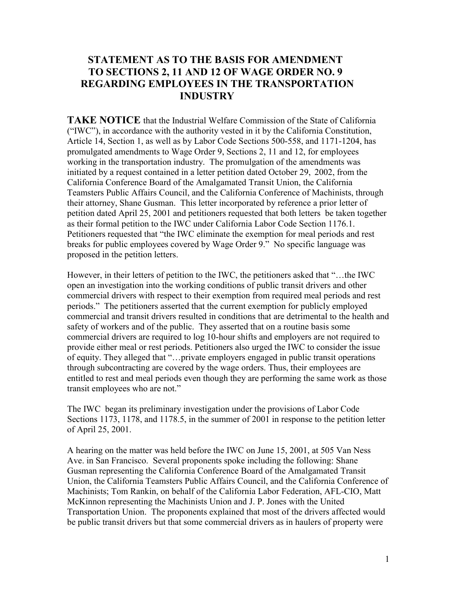# **STATEMENT AS TO THE BASIS FOR AMENDMENT TO SECTIONS 2, 11 AND 12 OF WAGE ORDER NO. 9 REGARDING EMPLOYEES IN THE TRANSPORTATION INDUSTRY**

 their attorney, Shane Gusman. This letter incorporated by reference a prior letter of Petitioners requested that "the IWC eliminate the exemption for meal periods and rest **TAKE NOTICE** that the Industrial Welfare Commission of the State of California ("IWC"), in accordance with the authority vested in it by the California Constitution, Article 14, Section 1, as well as by Labor Code Sections 500-558, and 1171-1204, has promulgated amendments to Wage Order 9, Sections 2, 11 and 12, for employees working in the transportation industry. The promulgation of the amendments was initiated by a request contained in a letter petition dated October 29, 2002, from the California Conference Board of the Amalgamated Transit Union, the California Teamsters Public Affairs Council, and the California Conference of Machinists, through petition dated April 25, 2001 and petitioners requested that both letters be taken together as their formal petition to the IWC under California Labor Code Section 1176.1. breaks for public employees covered by Wage Order 9." No specific language was proposed in the petition letters.

 However, in their letters of petition to the IWC, the petitioners asked that "…the IWC provide either meal or rest periods. Petitioners also urged the IWC to consider the issue entitled to rest and meal periods even though they are performing the same work as those open an investigation into the working conditions of public transit drivers and other commercial drivers with respect to their exemption from required meal periods and rest periods." The petitioners asserted that the current exemption for publicly employed commercial and transit drivers resulted in conditions that are detrimental to the health and safety of workers and of the public. They asserted that on a routine basis some commercial drivers are required to log 10-hour shifts and employers are not required to of equity. They alleged that "…private employers engaged in public transit operations through subcontracting are covered by the wage orders. Thus, their employees are transit employees who are not."

 The IWC began its preliminary investigation under the provisions of Labor Code Sections 1173, 1178, and 1178.5, in the summer of 2001 in response to the petition letter of April 25, 2001.

 be public transit drivers but that some commercial drivers as in haulers of property were A hearing on the matter was held before the IWC on June 15, 2001, at 505 Van Ness Ave. in San Francisco. Several proponents spoke including the following: Shane Gusman representing the California Conference Board of the Amalgamated Transit Union, the California Teamsters Public Affairs Council, and the California Conference of Machinists; Tom Rankin, on behalf of the California Labor Federation, AFL-CIO, Matt McKinnon representing the Machinists Union and J. P. Jones with the United Transportation Union. The proponents explained that most of the drivers affected would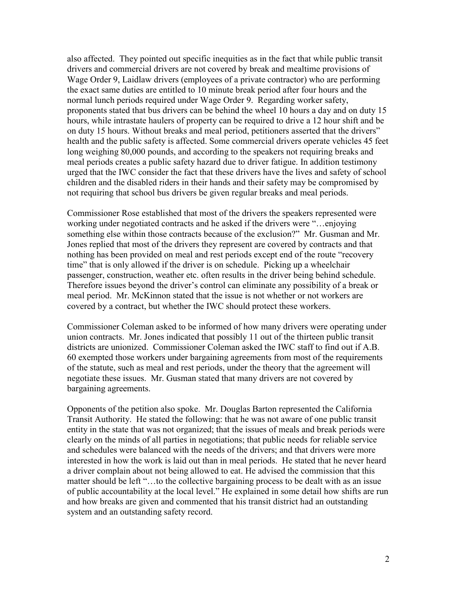also affected. They pointed out specific inequities as in the fact that while public transit drivers and commercial drivers are not covered by break and mealtime provisions of Wage Order 9, Laidlaw drivers (employees of a private contractor) who are performing the exact same duties are entitled to 10 minute break period after four hours and the normal lunch periods required under Wage Order 9. Regarding worker safety, proponents stated that bus drivers can be behind the wheel 10 hours a day and on duty 15 hours, while intrastate haulers of property can be required to drive a 12 hour shift and be on duty 15 hours. Without breaks and meal period, petitioners asserted that the drivers" health and the public safety is affected. Some commercial drivers operate vehicles 45 feet long weighing 80,000 pounds, and according to the speakers not requiring breaks and meal periods creates a public safety hazard due to driver fatigue. In addition testimony urged that the IWC consider the fact that these drivers have the lives and safety of school children and the disabled riders in their hands and their safety may be compromised by not requiring that school bus drivers be given regular breaks and meal periods.

Commissioner Rose established that most of the drivers the speakers represented were working under negotiated contracts and he asked if the drivers were "…enjoying something else within those contracts because of the exclusion?" Mr. Gusman and Mr. Jones replied that most of the drivers they represent are covered by contracts and that nothing has been provided on meal and rest periods except end of the route "recovery time" that is only allowed if the driver is on schedule. Picking up a wheelchair passenger, construction, weather etc. often results in the driver being behind schedule. Therefore issues beyond the driver's control can eliminate any possibility of a break or meal period. Mr. McKinnon stated that the issue is not whether or not workers are covered by a contract, but whether the IWC should protect these workers.

Commissioner Coleman asked to be informed of how many drivers were operating under union contracts. Mr. Jones indicated that possibly 11 out of the thirteen public transit districts are unionized. Commissioner Coleman asked the IWC staff to find out if A.B. 60 exempted those workers under bargaining agreements from most of the requirements of the statute, such as meal and rest periods, under the theory that the agreement will negotiate these issues. Mr. Gusman stated that many drivers are not covered by bargaining agreements.

Opponents of the petition also spoke. Mr. Douglas Barton represented the California Transit Authority. He stated the following: that he was not aware of one public transit entity in the state that was not organized; that the issues of meals and break periods were clearly on the minds of all parties in negotiations; that public needs for reliable service and schedules were balanced with the needs of the drivers; and that drivers were more interested in how the work is laid out than in meal periods. He stated that he never heard a driver complain about not being allowed to eat. He advised the commission that this matter should be left "…to the collective bargaining process to be dealt with as an issue of public accountability at the local level." He explained in some detail how shifts are run and how breaks are given and commented that his transit district had an outstanding system and an outstanding safety record.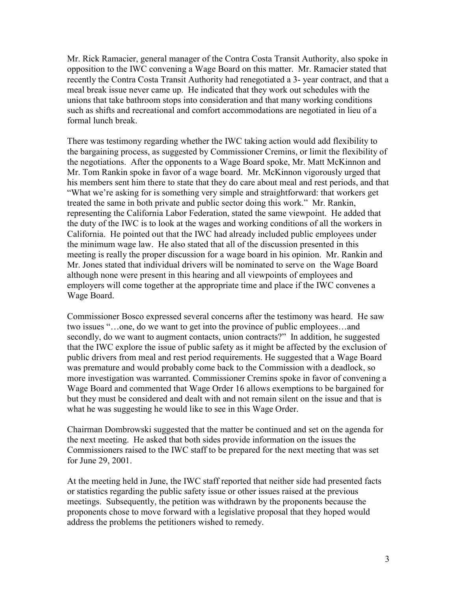Mr. Rick Ramacier, general manager of the Contra Costa Transit Authority, also spoke in opposition to the IWC convening a Wage Board on this matter. Mr. Ramacier stated that recently the Contra Costa Transit Authority had renegotiated a 3- year contract, and that a meal break issue never came up. He indicated that they work out schedules with the unions that take bathroom stops into consideration and that many working conditions such as shifts and recreational and comfort accommodations are negotiated in lieu of a formal lunch break.

 There was testimony regarding whether the IWC taking action would add flexibility to Mr. Jones stated that individual drivers will be nominated to serve on the Wage Board the bargaining process, as suggested by Commissioner Cremins, or limit the flexibility of the negotiations. After the opponents to a Wage Board spoke, Mr. Matt McKinnon and Mr. Tom Rankin spoke in favor of a wage board. Mr. McKinnon vigorously urged that his members sent him there to state that they do care about meal and rest periods, and that "What we're asking for is something very simple and straightforward: that workers get treated the same in both private and public sector doing this work." Mr. Rankin, representing the California Labor Federation, stated the same viewpoint. He added that the duty of the IWC is to look at the wages and working conditions of all the workers in California. He pointed out that the IWC had already included public employees under the minimum wage law. He also stated that all of the discussion presented in this meeting is really the proper discussion for a wage board in his opinion. Mr. Rankin and although none were present in this hearing and all viewpoints of employees and employers will come together at the appropriate time and place if the IWC convenes a Wage Board.

Commissioner Bosco expressed several concerns after the testimony was heard. He saw two issues "…one, do we want to get into the province of public employees…and secondly, do we want to augment contacts, union contracts?" In addition, he suggested that the IWC explore the issue of public safety as it might be affected by the exclusion of public drivers from meal and rest period requirements. He suggested that a Wage Board was premature and would probably come back to the Commission with a deadlock, so more investigation was warranted. Commissioner Cremins spoke in favor of convening a Wage Board and commented that Wage Order 16 allows exemptions to be bargained for but they must be considered and dealt with and not remain silent on the issue and that is what he was suggesting he would like to see in this Wage Order.

Chairman Dombrowski suggested that the matter be continued and set on the agenda for the next meeting. He asked that both sides provide information on the issues the Commissioners raised to the IWC staff to be prepared for the next meeting that was set for June 29, 2001.

At the meeting held in June, the IWC staff reported that neither side had presented facts or statistics regarding the public safety issue or other issues raised at the previous meetings. Subsequently, the petition was withdrawn by the proponents because the proponents chose to move forward with a legislative proposal that they hoped would address the problems the petitioners wished to remedy.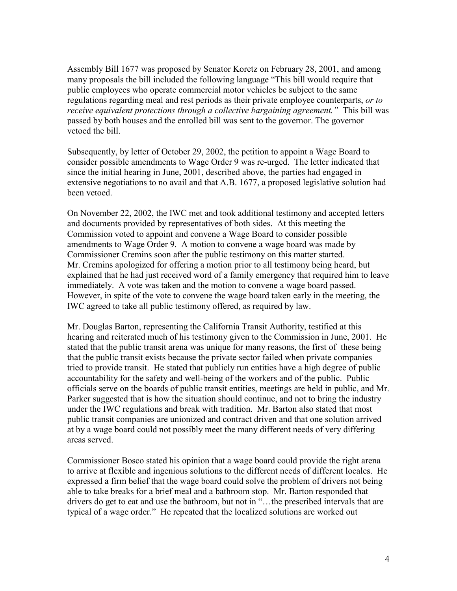Assembly Bill 1677 was proposed by Senator Koretz on February 28, 2001, and among many proposals the bill included the following language "This bill would require that public employees who operate commercial motor vehicles be subject to the same regulations regarding meal and rest periods as their private employee counterparts, *or to receive equivalent protections through a collective bargaining agreement."* This bill was passed by both houses and the enrolled bill was sent to the governor. The governor vetoed the bill.

Subsequently, by letter of October 29, 2002, the petition to appoint a Wage Board to consider possible amendments to Wage Order 9 was re-urged. The letter indicated that since the initial hearing in June, 2001, described above, the parties had engaged in extensive negotiations to no avail and that A.B. 1677, a proposed legislative solution had been vetoed.

On November 22, 2002, the IWC met and took additional testimony and accepted letters and documents provided by representatives of both sides. At this meeting the Commission voted to appoint and convene a Wage Board to consider possible amendments to Wage Order 9. A motion to convene a wage board was made by Commissioner Cremins soon after the public testimony on this matter started. Mr. Cremins apologized for offering a motion prior to all testimony being heard, but explained that he had just received word of a family emergency that required him to leave immediately. A vote was taken and the motion to convene a wage board passed. However, in spite of the vote to convene the wage board taken early in the meeting, the IWC agreed to take all public testimony offered, as required by law.

 Parker suggested that is how the situation should continue, and not to bring the industry Mr. Douglas Barton, representing the California Transit Authority, testified at this hearing and reiterated much of his testimony given to the Commission in June, 2001. He stated that the public transit arena was unique for many reasons, the first of these being that the public transit exists because the private sector failed when private companies tried to provide transit. He stated that publicly run entities have a high degree of public accountability for the safety and well-being of the workers and of the public. Public officials serve on the boards of public transit entities, meetings are held in public, and Mr. under the IWC regulations and break with tradition. Mr. Barton also stated that most public transit companies are unionized and contract driven and that one solution arrived at by a wage board could not possibly meet the many different needs of very differing areas served.

Commissioner Bosco stated his opinion that a wage board could provide the right arena to arrive at flexible and ingenious solutions to the different needs of different locales. He expressed a firm belief that the wage board could solve the problem of drivers not being able to take breaks for a brief meal and a bathroom stop. Mr. Barton responded that drivers do get to eat and use the bathroom, but not in "…the prescribed intervals that are typical of a wage order." He repeated that the localized solutions are worked out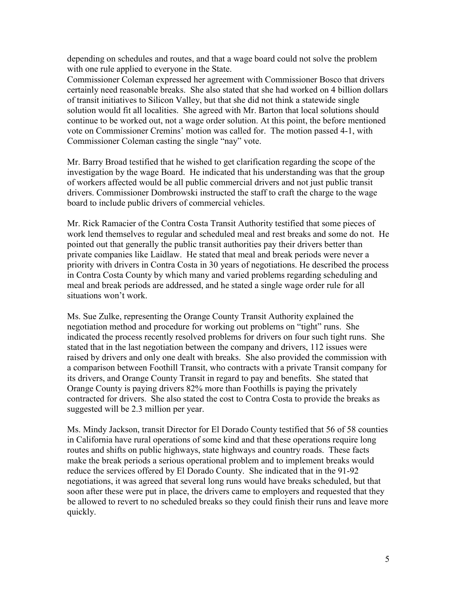depending on schedules and routes, and that a wage board could not solve the problem with one rule applied to everyone in the State.

Commissioner Coleman expressed her agreement with Commissioner Bosco that drivers certainly need reasonable breaks. She also stated that she had worked on 4 billion dollars of transit initiatives to Silicon Valley, but that she did not think a statewide single solution would fit all localities. She agreed with Mr. Barton that local solutions should continue to be worked out, not a wage order solution. At this point, the before mentioned vote on Commissioner Cremins' motion was called for. The motion passed 4-1, with Commissioner Coleman casting the single "nay" vote.

Mr. Barry Broad testified that he wished to get clarification regarding the scope of the investigation by the wage Board. He indicated that his understanding was that the group of workers affected would be all public commercial drivers and not just public transit drivers. Commissioner Dombrowski instructed the staff to craft the charge to the wage board to include public drivers of commercial vehicles.

Mr. Rick Ramacier of the Contra Costa Transit Authority testified that some pieces of work lend themselves to regular and scheduled meal and rest breaks and some do not. He pointed out that generally the public transit authorities pay their drivers better than private companies like Laidlaw. He stated that meal and break periods were never a priority with drivers in Contra Costa in 30 years of negotiations. He described the process in Contra Costa County by which many and varied problems regarding scheduling and meal and break periods are addressed, and he stated a single wage order rule for all situations won't work.

 a comparison between Foothill Transit, who contracts with a private Transit company for Ms. Sue Zulke, representing the Orange County Transit Authority explained the negotiation method and procedure for working out problems on "tight" runs. She indicated the process recently resolved problems for drivers on four such tight runs. She stated that in the last negotiation between the company and drivers, 112 issues were raised by drivers and only one dealt with breaks. She also provided the commission with its drivers, and Orange County Transit in regard to pay and benefits. She stated that Orange County is paying drivers 82% more than Foothills is paying the privately contracted for drivers. She also stated the cost to Contra Costa to provide the breaks as suggested will be 2.3 million per year.

Ms. Mindy Jackson, transit Director for El Dorado County testified that 56 of 58 counties in California have rural operations of some kind and that these operations require long routes and shifts on public highways, state highways and country roads. These facts make the break periods a serious operational problem and to implement breaks would reduce the services offered by El Dorado County. She indicated that in the 91-92 negotiations, it was agreed that several long runs would have breaks scheduled, but that soon after these were put in place, the drivers came to employers and requested that they be allowed to revert to no scheduled breaks so they could finish their runs and leave more quickly.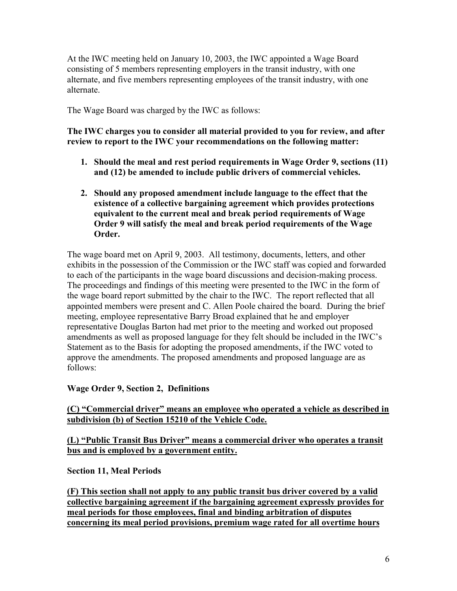At the IWC meeting held on January 10, 2003, the IWC appointed a Wage Board consisting of 5 members representing employers in the transit industry, with one alternate, and five members representing employees of the transit industry, with one alternate.

The Wage Board was charged by the IWC as follows:

**The IWC charges you to consider all material provided to you for review, and after review to report to the IWC your recommendations on the following matter:** 

- **1. Should the meal and rest period requirements in Wage Order 9, sections (11) and (12) be amended to include public drivers of commercial vehicles.**
- **2. Should any proposed amendment include language to the effect that the existence of a collective bargaining agreement which provides protections equivalent to the current meal and break period requirements of Wage Order 9 will satisfy the meal and break period requirements of the Wage Order.**

 the wage board report submitted by the chair to the IWC. The report reflected that all The wage board met on April 9, 2003. All testimony, documents, letters, and other exhibits in the possession of the Commission or the IWC staff was copied and forwarded to each of the participants in the wage board discussions and decision-making process. The proceedings and findings of this meeting were presented to the IWC in the form of appointed members were present and C. Allen Poole chaired the board. During the brief meeting, employee representative Barry Broad explained that he and employer representative Douglas Barton had met prior to the meeting and worked out proposed amendments as well as proposed language for they felt should be included in the IWC's Statement as to the Basis for adopting the proposed amendments, if the IWC voted to approve the amendments. The proposed amendments and proposed language are as follows:

## **Wage Order 9, Section 2, Definitions**

**(C) "Commercial driver" means an employee who operated a vehicle as described in subdivision (b) of Section 15210 of the Vehicle Code.** 

## **(L) "Public Transit Bus Driver" means a commercial driver who operates a transit bus and is employed by a government entity.**

**Section 11, Meal Periods** 

**(F) This section shall not apply to any public transit bus driver covered by a valid collective bargaining agreement if the bargaining agreement expressly provides for meal periods for those employees, final and binding arbitration of disputes concerning its meal period provisions, premium wage rated for all overtime hours**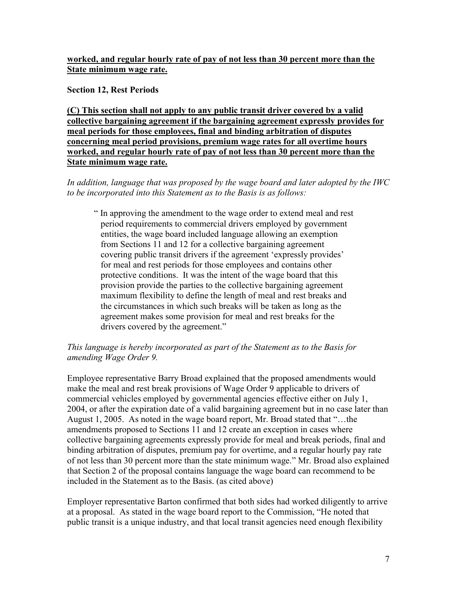## **worked, and regular hourly rate of pay of not less than 30 percent more than the State minimum wage rate.**

**Section 12, Rest Periods** 

**(C) This section shall not apply to any public transit driver covered by a valid collective bargaining agreement if the bargaining agreement expressly provides for meal periods for those employees, final and binding arbitration of disputes concerning meal period provisions, premium wage rates for all overtime hours worked, and regular hourly rate of pay of not less than 30 percent more than the State minimum wage rate.** 

 *to be incorporated into this Statement as to the Basis is as follows: In addition, language that was proposed by the wage board and later adopted by the IWC* 

provision provide the parties to the collective bargaining agreement " In approving the amendment to the wage order to extend meal and rest period requirements to commercial drivers employed by government entities, the wage board included language allowing an exemption from Sections 11 and 12 for a collective bargaining agreement covering public transit drivers if the agreement 'expressly provides' for meal and rest periods for those employees and contains other protective conditions. It was the intent of the wage board that this maximum flexibility to define the length of meal and rest breaks and the circumstances in which such breaks will be taken as long as the agreement makes some provision for meal and rest breaks for the drivers covered by the agreement."

## *This language is hereby incorporated as part of the Statement as to the Basis for amending Wage Order 9.*

 binding arbitration of disputes, premium pay for overtime, and a regular hourly pay rate Employee representative Barry Broad explained that the proposed amendments would make the meal and rest break provisions of Wage Order 9 applicable to drivers of commercial vehicles employed by governmental agencies effective either on July 1, 2004, or after the expiration date of a valid bargaining agreement but in no case later than August 1, 2005. As noted in the wage board report, Mr. Broad stated that "…the amendments proposed to Sections 11 and 12 create an exception in cases where collective bargaining agreements expressly provide for meal and break periods, final and of not less than 30 percent more than the state minimum wage." Mr. Broad also explained that Section 2 of the proposal contains language the wage board can recommend to be included in the Statement as to the Basis. (as cited above)

Employer representative Barton confirmed that both sides had worked diligently to arrive at a proposal. As stated in the wage board report to the Commission, "He noted that public transit is a unique industry, and that local transit agencies need enough flexibility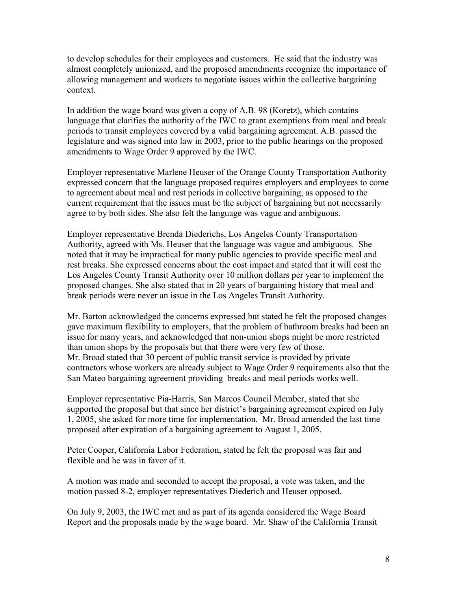allowing management and workers to negotiate issues within the collective bargaining to develop schedules for their employees and customers. He said that the industry was almost completely unionized, and the proposed amendments recognize the importance of context.

In addition the wage board was given a copy of A.B. 98 (Koretz), which contains language that clarifies the authority of the IWC to grant exemptions from meal and break periods to transit employees covered by a valid bargaining agreement. A.B. passed the legislature and was signed into law in 2003, prior to the public hearings on the proposed amendments to Wage Order 9 approved by the IWC.

Employer representative Marlene Heuser of the Orange County Transportation Authority expressed concern that the language proposed requires employers and employees to come to agreement about meal and rest periods in collective bargaining, as opposed to the current requirement that the issues must be the subject of bargaining but not necessarily agree to by both sides. She also felt the language was vague and ambiguous.

Employer representative Brenda Diederichs, Los Angeles County Transportation Authority, agreed with Ms. Heuser that the language was vague and ambiguous. She noted that it may be impractical for many public agencies to provide specific meal and rest breaks. She expressed concerns about the cost impact and stated that it will cost the Los Angeles County Transit Authority over 10 million dollars per year to implement the proposed changes. She also stated that in 20 years of bargaining history that meal and break periods were never an issue in the Los Angeles Transit Authority.

Mr. Barton acknowledged the concerns expressed but stated he felt the proposed changes gave maximum flexibility to employers, that the problem of bathroom breaks had been an issue for many years, and acknowledged that non-union shops might be more restricted than union shops by the proposals but that there were very few of those. Mr. Broad stated that 30 percent of public transit service is provided by private contractors whose workers are already subject to Wage Order 9 requirements also that the San Mateo bargaining agreement providing breaks and meal periods works well.

Employer representative Pia-Harris, San Marcos Council Member, stated that she supported the proposal but that since her district's bargaining agreement expired on July 1, 2005, she asked for more time for implementation. Mr. Broad amended the last time proposed after expiration of a bargaining agreement to August 1, 2005.

Peter Cooper, California Labor Federation, stated he felt the proposal was fair and flexible and he was in favor of it.

A motion was made and seconded to accept the proposal, a vote was taken, and the motion passed 8-2, employer representatives Diederich and Heuser opposed.

On July 9, 2003, the IWC met and as part of its agenda considered the Wage Board Report and the proposals made by the wage board. Mr. Shaw of the California Transit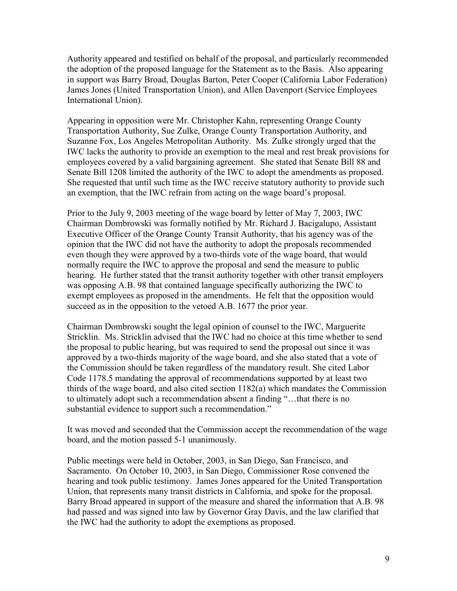Authority appeared and testified on behalf of the proposal, and particularly recommended the adoption of the proposed language for the Statement as to the Basis. Also appearing in support was Barry Broad, Douglas Barton, Peter Cooper (California Labor Federation) James Jones (United Transportation Union), and Allen Davenport (Service Employees International Union).

 employees covered by a valid bargaining agreement. She stated that Senate Bill 88 and Appearing in opposition were Mr. Christopher Kahn, representing Orange County Transportation Authority, Sue Zulke, Orange County Transportation Authority, and Suzanne Fox, Los Angeles Metropolitan Authority. Ms. Zulke strongly urged that the IWC lacks the authority to provide an exemption to the meal and rest break provisions for Senate Bill 1208 limited the authority of the IWC to adopt the amendments as proposed. She requested that until such time as the IWC receive statutory authority to provide such an exemption, that the IWC refrain from acting on the wage board's proposal.

Prior to the July 9, 2003 meeting of the wage board by letter of May 7, 2003, IWC Chairman Dombrowski was formally notified by Mr. Richard J. Bacigalupo, Assistant Executive Officer of the Orange County Transit Authority, that his agency was of the opinion that the IWC did not have the authority to adopt the proposals recommended even though they were approved by a two-thirds vote of the wage board, that would normally require the IWC to approve the proposal and send the measure to public hearing. He further stated that the transit authority together with other transit employers was opposing A.B. 98 that contained language specifically authorizing the IWC to exempt employees as proposed in the amendments. He felt that the opposition would succeed as in the opposition to the vetoed A.B. 1677 the prior year.

Chairman Dombrowski sought the legal opinion of counsel to the IWC, Marguerite Stricklin. Ms. Stricklin advised that the IWC had no choice at this time whether to send the proposal to public hearing, but was required to send the proposal out since it was approved by a two-thirds majority of the wage board, and she also stated that a vote of the Commission should be taken regardless of the mandatory result. She cited Labor Code 1178.5 mandating the approval of recommendations supported by at least two thirds of the wage board, and also cited section 1182(a) which mandates the Commission to ultimately adopt such a recommendation absent a finding "…that there is no substantial evidence to support such a recommendation."

It was moved and seconded that the Commission accept the recommendation of the wage board, and the motion passed 5-1 unanimously.

Public meetings were held in October, 2003, in San Diego, San Francisco, and Sacramento. On October 10, 2003, in San Diego, Commissioner Rose convened the hearing and took public testimony. James Jones appeared for the United Transportation Union, that represents many transit districts in California, and spoke for the proposal. Barry Broad appeared in support of the measure and shared the information that A.B. 98 had passed and was signed into law by Governor Gray Davis, and the law clarified that the IWC had the authority to adopt the exemptions as proposed.